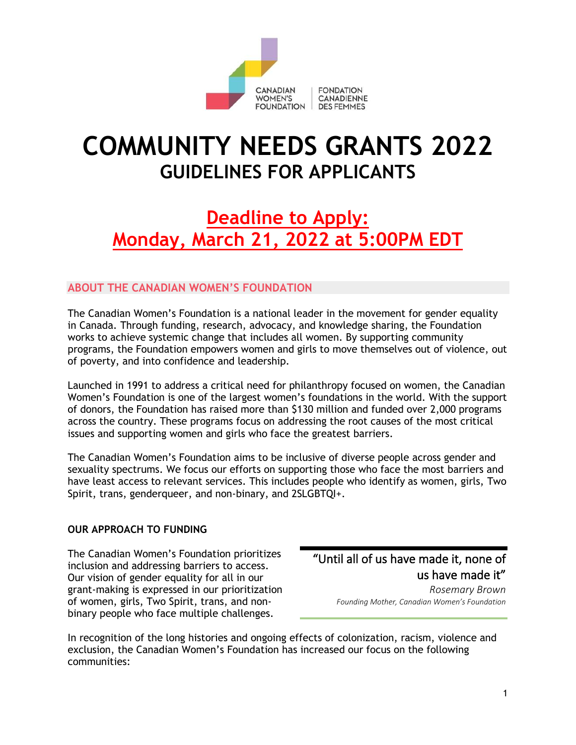

# **COMMUNITY NEEDS GRANTS 2022 GUIDELINES FOR APPLICANTS**

# **Deadline to Apply: Monday, March 21, 2022 at 5:00PM EDT**

## **ABOUT THE CANADIAN WOMEN'S FOUNDATION**

The Canadian Women's Foundation is a national leader in the movement for gender equality in Canada. Through funding, research, advocacy, and knowledge sharing, the Foundation works to achieve systemic change that includes all women. By supporting community programs, the Foundation empowers women and girls to move themselves out of violence, out of poverty, and into confidence and leadership.

Launched in 1991 to address a critical need for philanthropy focused on women, the Canadian Women's Foundation is one of the largest women's foundations in the world. With the support of donors, the Foundation has raised more than \$130 million and funded over 2,000 programs across the country. These programs focus on addressing the root causes of the most critical issues and supporting women and girls who face the greatest barriers.

The Canadian Women's Foundation aims to be inclusive of diverse people across gender and sexuality spectrums. We focus our efforts on supporting those who face the most barriers and have least access to relevant services. This includes people who identify as women, girls, Two Spirit, trans, genderqueer, and non-binary, and 2SLGBTQI+.

#### **OUR APPROACH TO FUNDING**

The Canadian Women's Foundation prioritizes inclusion and addressing barriers to access. Our vision of gender equality for all in our grant-making is expressed in our prioritization of women, girls, Two Spirit, trans, and nonbinary people who face multiple challenges.

"Until all of us have made it, none of us have made it"

> *Rosemary Brown Founding Mother, Canadian Women's Foundation*

In recognition of the long histories and ongoing effects of colonization, racism, violence and exclusion, the Canadian Women's Foundation has increased our focus on the following communities: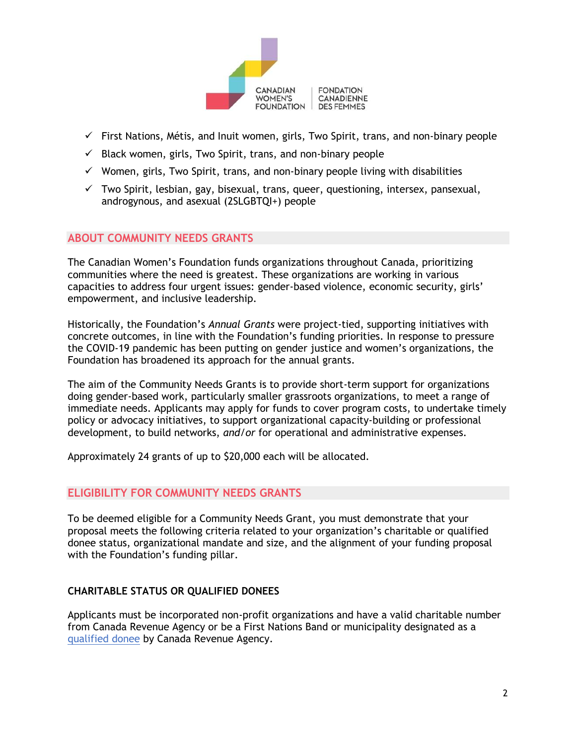

- $\checkmark$  First Nations, Métis, and Inuit women, girls, Two Spirit, trans, and non-binary people
- $\checkmark$  Black women, girls, Two Spirit, trans, and non-binary people
- $\checkmark$  Women, girls, Two Spirit, trans, and non-binary people living with disabilities
- $\checkmark$  Two Spirit, lesbian, gay, bisexual, trans, queer, questioning, intersex, pansexual, androgynous, and asexual (2SLGBTQI+) people

#### **ABOUT COMMUNITY NEEDS GRANTS**

The Canadian Women's Foundation funds organizations throughout Canada, prioritizing communities where the need is greatest. These organizations are working in various capacities to address four urgent issues: gender-based violence, economic security, girls' empowerment, and inclusive leadership.

Historically, the Foundation's *Annual Grants* were project-tied, supporting initiatives with concrete outcomes, in line with the Foundation's funding priorities. In response to pressure the COVID-19 pandemic has been putting on gender justice and women's organizations, the Foundation has broadened its approach for the annual grants.

The aim of the Community Needs Grants is to provide short-term support for organizations doing gender-based work, particularly smaller grassroots organizations, to meet a range of immediate needs. Applicants may apply for funds to cover program costs, to undertake timely policy or advocacy initiatives, to support organizational capacity-building or professional development, to build networks, *and/or* for operational and administrative expenses.

Approximately 24 grants of up to \$20,000 each will be allocated.

#### **ELIGIBILITY FOR COMMUNITY NEEDS GRANTS**

To be deemed eligible for a Community Needs Grant, you must demonstrate that your proposal meets the following criteria related to your organization's charitable or qualified donee status, organizational mandate and size, and the alignment of your funding proposal with the Foundation's funding pillar.

#### **CHARITABLE STATUS OR QUALIFIED DONEES**

Applicants must be incorporated non-profit organizations and have a valid charitable number from Canada Revenue Agency or be a First Nations Band or municipality designated as a [qualified donee](https://www.canada.ca/en/revenue-agency/services/charities-giving/list-charities/list-charities-other-qualified-donees.html) by Canada Revenue Agency.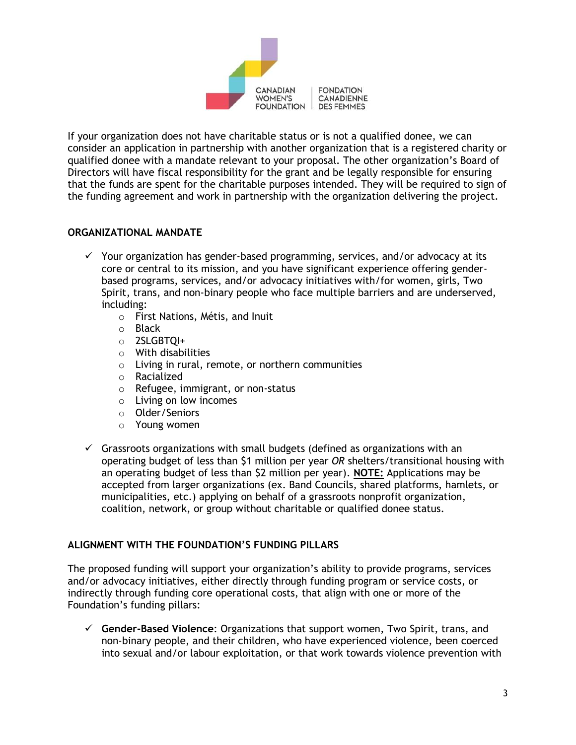

If your organization does not have charitable status or is not a qualified donee, we can consider an application in partnership with another organization that is a registered charity or qualified donee with a mandate relevant to your proposal. The other organization's Board of Directors will have fiscal responsibility for the grant and be legally responsible for ensuring that the funds are spent for the charitable purposes intended. They will be required to sign of the funding agreement and work in partnership with the organization delivering the project.

#### **ORGANIZATIONAL MANDATE**

- $\checkmark$  Your organization has gender-based programming, services, and/or advocacy at its core or central to its mission, and you have significant experience offering genderbased programs, services, and/or advocacy initiatives with/for women, girls, Two Spirit, trans, and non-binary people who face multiple barriers and are underserved, including:
	- o First Nations, Métis, and Inuit
	- o Black
	- o 2SLGBTQI+
	- o With disabilities
	- o Living in rural, remote, or northern communities
	- o Racialized
	- o Refugee, immigrant, or non-status
	- o Living on low incomes
	- o Older/Seniors
	- o Young women
- $\checkmark$  Grassroots organizations with small budgets (defined as organizations with an operating budget of less than \$1 million per year *OR* shelters/transitional housing with an operating budget of less than \$2 million per year). **NOTE:** Applications may be accepted from larger organizations (ex. Band Councils, shared platforms, hamlets, or municipalities, etc.) applying on behalf of a grassroots nonprofit organization, coalition, network, or group without charitable or qualified donee status.

#### **ALIGNMENT WITH THE FOUNDATION'S FUNDING PILLARS**

The proposed funding will support your organization's ability to provide programs, services and/or advocacy initiatives, either directly through funding program or service costs, or indirectly through funding core operational costs, that align with one or more of the Foundation's funding pillars:

✓ **Gender-Based Violence**: Organizations that support women, Two Spirit, trans, and non-binary people, and their children, who have experienced violence, been coerced into sexual and/or labour exploitation, or that work towards violence prevention with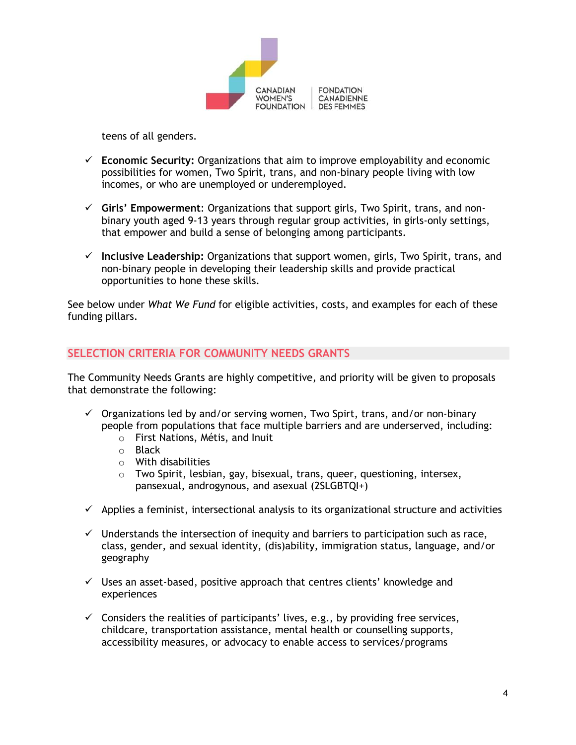

teens of all genders.

- ✓ **Economic Security:** Organizations that aim to improve employability and economic possibilities for women, Two Spirit, trans, and non-binary people living with low incomes, or who are unemployed or underemployed.
- ✓ **Girls' Empowerment**: Organizations that support girls, Two Spirit, trans, and nonbinary youth aged 9-13 years through regular group activities, in girls-only settings, that empower and build a sense of belonging among participants.
- ✓ **Inclusive Leadership:** Organizations that support women, girls, Two Spirit, trans, and non-binary people in developing their leadership skills and provide practical opportunities to hone these skills.

See below under *What We Fund* for eligible activities, costs, and examples for each of these funding pillars.

#### **SELECTION CRITERIA FOR COMMUNITY NEEDS GRANTS**

The Community Needs Grants are highly competitive, and priority will be given to proposals that demonstrate the following:

- $\checkmark$  Organizations led by and/or serving women, Two Spirt, trans, and/or non-binary people from populations that face multiple barriers and are underserved, including:
	- o First Nations, Métis, and Inuit
	- o Black
	- o With disabilities
	- o Two Spirit, lesbian, gay, bisexual, trans, queer, questioning, intersex, pansexual, androgynous, and asexual (2SLGBTQI+)
- $\checkmark$  Applies a feminist, intersectional analysis to its organizational structure and activities
- $\checkmark$  Understands the intersection of inequity and barriers to participation such as race, class, gender, and sexual identity, (dis)ability, immigration status, language, and/or geography
- $\checkmark$  Uses an asset-based, positive approach that centres clients' knowledge and experiences
- $\checkmark$  Considers the realities of participants' lives, e.g., by providing free services, childcare, transportation assistance, mental health or counselling supports, accessibility measures, or advocacy to enable access to services/programs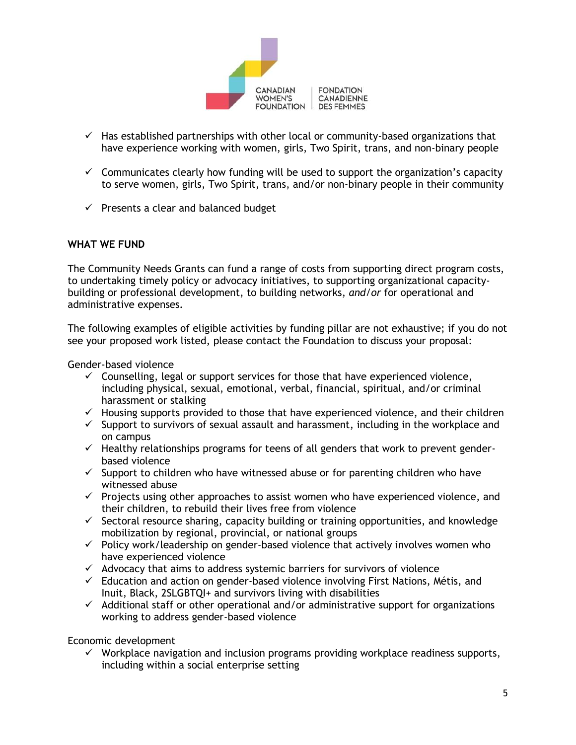

- $\checkmark$  Has established partnerships with other local or community-based organizations that have experience working with women, girls, Two Spirit, trans, and non-binary people
- $\checkmark$  Communicates clearly how funding will be used to support the organization's capacity to serve women, girls, Two Spirit, trans, and/or non-binary people in their community
- $\checkmark$  Presents a clear and balanced budget

#### **WHAT WE FUND**

The Community Needs Grants can fund a range of costs from supporting direct program costs, to undertaking timely policy or advocacy initiatives, to supporting organizational capacitybuilding or professional development, to building networks, *and/or* for operational and administrative expenses.

The following examples of eligible activities by funding pillar are not exhaustive; if you do not see your proposed work listed, please contact the Foundation to discuss your proposal:

Gender-based violence

- $\checkmark$  Counselling, legal or support services for those that have experienced violence, including physical, sexual, emotional, verbal, financial, spiritual, and/or criminal harassment or stalking
- $\checkmark$  Housing supports provided to those that have experienced violence, and their children
- $\checkmark$  Support to survivors of sexual assault and harassment, including in the workplace and on campus
- $\checkmark$  Healthy relationships programs for teens of all genders that work to prevent genderbased violence
- $\checkmark$  Support to children who have witnessed abuse or for parenting children who have witnessed abuse
- $\checkmark$  Projects using other approaches to assist women who have experienced violence, and their children, to rebuild their lives free from violence
- $\checkmark$  Sectoral resource sharing, capacity building or training opportunities, and knowledge mobilization by regional, provincial, or national groups
- $\checkmark$  Policy work/leadership on gender-based violence that actively involves women who have experienced violence
- $\checkmark$  Advocacy that aims to address systemic barriers for survivors of violence
- $\checkmark$  Education and action on gender-based violence involving First Nations, Métis, and Inuit, Black, 2SLGBTQI+ and survivors living with disabilities
- $\checkmark$  Additional staff or other operational and/or administrative support for organizations working to address gender-based violence

Economic development

 $\checkmark$  Workplace navigation and inclusion programs providing workplace readiness supports, including within a social enterprise setting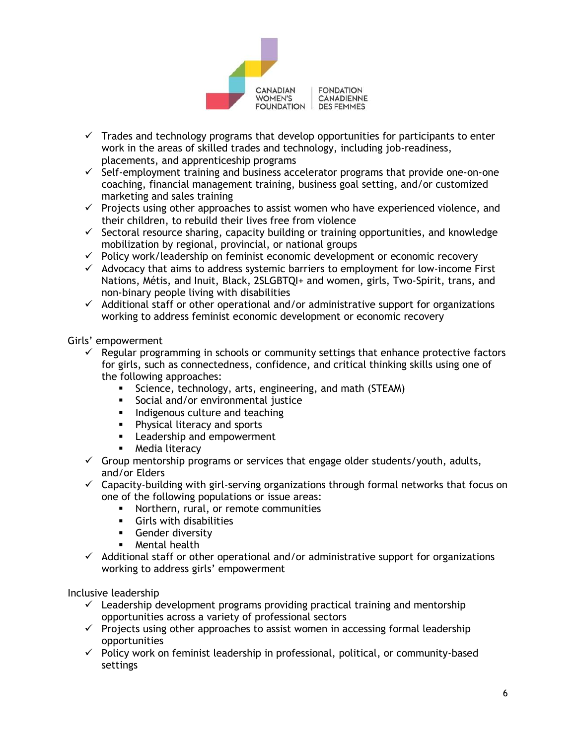

- $\checkmark$  Trades and technology programs that develop opportunities for participants to enter work in the areas of skilled trades and technology, including job-readiness, placements, and apprenticeship programs
- $\checkmark$  Self-employment training and business accelerator programs that provide one-on-one coaching, financial management training, business goal setting, and/or customized marketing and sales training
- $\checkmark$  Projects using other approaches to assist women who have experienced violence, and their children, to rebuild their lives free from violence
- $\checkmark$  Sectoral resource sharing, capacity building or training opportunities, and knowledge mobilization by regional, provincial, or national groups
- $\checkmark$  Policy work/leadership on feminist economic development or economic recovery
- $\checkmark$  Advocacy that aims to address systemic barriers to employment for low-income First Nations, Métis, and Inuit, Black, 2SLGBTQI+ and women, girls, Two-Spirit, trans, and non-binary people living with disabilities
- $\checkmark$  Additional staff or other operational and/or administrative support for organizations working to address feminist economic development or economic recovery

Girls' empowerment

- $\checkmark$  Regular programming in schools or community settings that enhance protective factors for girls, such as connectedness, confidence, and critical thinking skills using one of the following approaches:
	- **EXECT** Science, technology, arts, engineering, and math (STEAM)
	- **•** Social and/or environmental justice
	- **•** Indigenous culture and teaching
	- **•** Physical literacy and sports
	- **EXEC** Leadership and empowerment
	- **■** Media literacy
- $\checkmark$  Group mentorship programs or services that engage older students/youth, adults, and/or Elders
- $\checkmark$  Capacity-building with girl-serving organizations through formal networks that focus on one of the following populations or issue areas:
	- Northern, rural, or remote communities
	- **•** Girls with disabilities<br>• Gender diversity
	- Gender diversity
	- **E** Mental health
- $\checkmark$  Additional staff or other operational and/or administrative support for organizations working to address girls' empowerment

Inclusive leadership

- $\checkmark$  Leadership development programs providing practical training and mentorship opportunities across a variety of professional sectors
- $\checkmark$  Projects using other approaches to assist women in accessing formal leadership opportunities
- $\checkmark$  Policy work on feminist leadership in professional, political, or community-based settings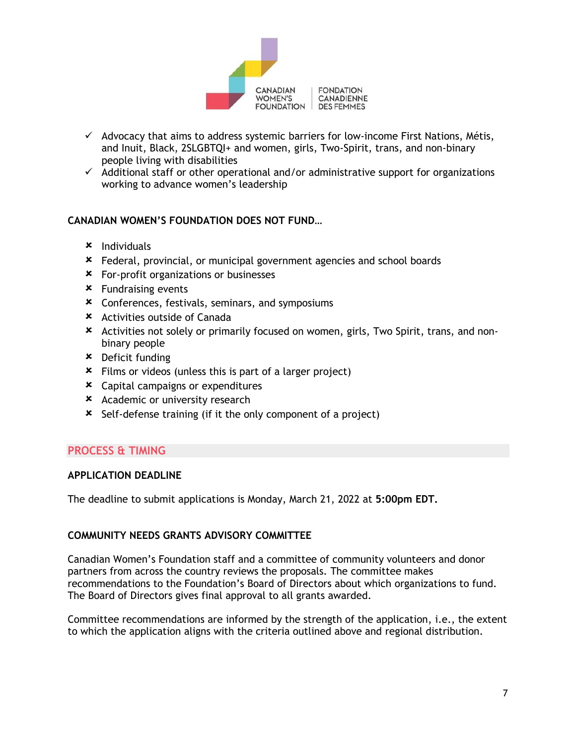

- $\checkmark$  Advocacy that aims to address systemic barriers for low-income First Nations, Métis, and Inuit, Black, 2SLGBTQI+ and women, girls, Two-Spirit, trans, and non-binary people living with disabilities
- $\checkmark$  Additional staff or other operational and/or administrative support for organizations working to advance women's leadership

#### **CANADIAN WOMEN'S FOUNDATION DOES NOT FUND…**

- $x$  Individuals
- Federal, provincial, or municipal government agencies and school boards
- For-profit organizations or businesses
- Fundraising events
- Conferences, festivals, seminars, and symposiums
- Activities outside of Canada
- Activities not solely or primarily focused on women, girls, Two Spirit, trans, and nonbinary people
- Deficit funding
- Films or videos (unless this is part of a larger project)
- Capital campaigns or expenditures
- **\*** Academic or university research
- Self-defense training (if it the only component of a project)

#### **PROCESS & TIMING**

#### **APPLICATION DEADLINE**

The deadline to submit applications is Monday, March 21, 2022 at **5:00pm EDT.**

#### **COMMUNITY NEEDS GRANTS ADVISORY COMMITTEE**

Canadian Women's Foundation staff and a committee of community volunteers and donor partners from across the country reviews the proposals. The committee makes recommendations to the Foundation's Board of Directors about which organizations to fund. The Board of Directors gives final approval to all grants awarded.

Committee recommendations are informed by the strength of the application, i.e., the extent to which the application aligns with the criteria outlined above and regional distribution.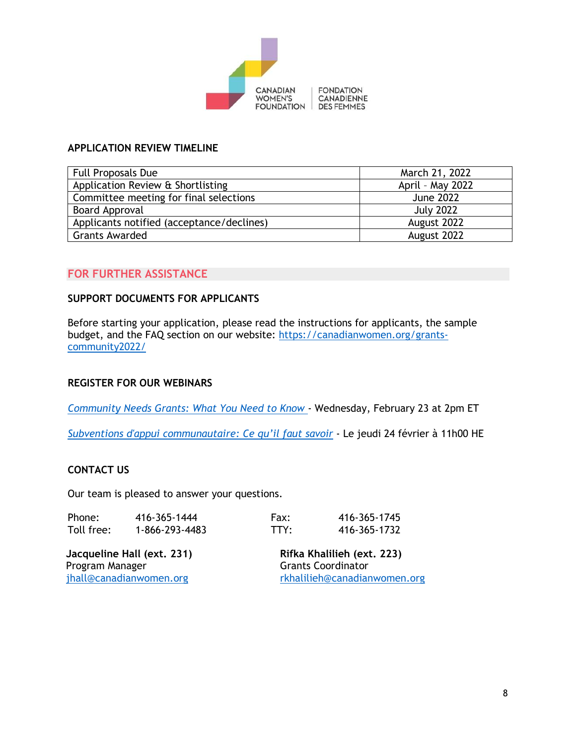

#### **APPLICATION REVIEW TIMELINE**

| <b>Full Proposals Due</b>                                  | March 21, 2022   |  |
|------------------------------------------------------------|------------------|--|
| Application Review & Shortlisting                          | April - May 2022 |  |
| Committee meeting for final selections<br><b>June 2022</b> |                  |  |
| Board Approval                                             | <b>July 2022</b> |  |
| Applicants notified (acceptance/declines)                  | August 2022      |  |
| <b>Grants Awarded</b><br>August 2022                       |                  |  |

#### **FOR FURTHER ASSISTANCE**

#### **SUPPORT DOCUMENTS FOR APPLICANTS**

Before starting your application, please read the instructions for applicants, the sample budget, and the FAQ section on our website: [https://canadianwomen.org/grants](https://canadianwomen.org/grants-community2022/)[community2022/](https://canadianwomen.org/grants-community2022/)

#### **REGISTER FOR OUR WEBINARS**

*[Community Needs Grants: What You Need to Know](https://us06web.zoom.us/webinar/register/WN_B-SCoDM0TqGubF5LIr37Ig)* - Wednesday, February 23 at 2pm ET

*[Subventions d'appui communautaire: Ce qu](https://us06web.zoom.us/webinar/register/WN_OlrZxT90Q6uHkpyLGWdRbw)'il faut savoir* - Le jeudi 24 février à 11h00 HE

#### **CONTACT US**

Our team is pleased to answer your questions.

| Phone:     | 416-365-1444   | Fax: | 416-365-1745 |
|------------|----------------|------|--------------|
| Toll free: | 1-866-293-4483 | TTY: | 416-365-1732 |

**Jacqueline Hall (ext. 231)**  Program Manager [jhall@canadianwomen.org](mailto:jhall@canadianwomen.org) 

**Rifka Khalilieh (ext. 223)**  Grants Coordinator [rkhalilieh@canadianwomen.org](mailto:rkhalilieh@canadianwomen.org)